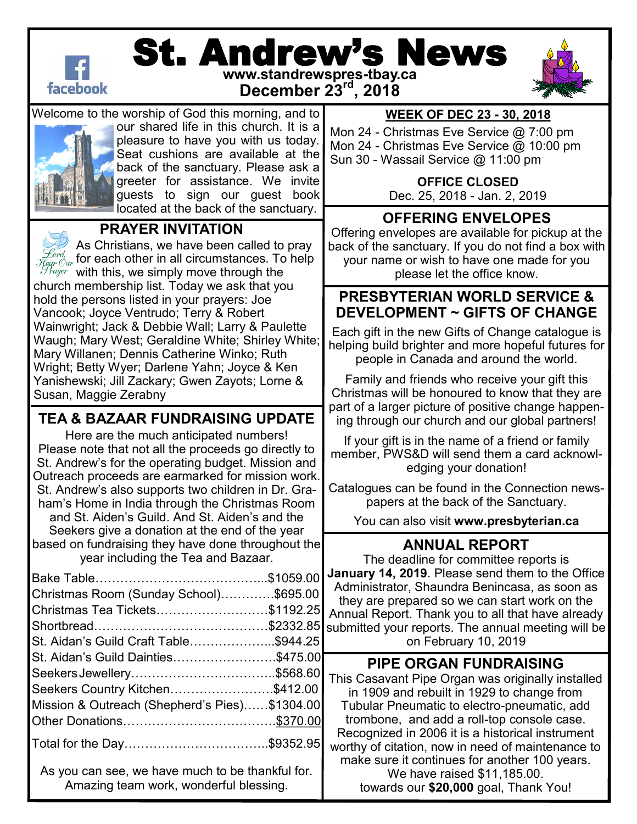

# St. Andrew's News **www.standrewspres-tbay.ca**

**December 23rd, 2018**



Welcome to the worship of God this morning, and to



our shared life in this church. It is a pleasure to have you with us today. Seat cushions are available at the back of the sanctuary. Please ask a greeter for assistance. We invite guests to sign our guest book located at the back of the sanctuary.

# **PRAYER INVITATION**

As Christians, we have been called to pray  $\frac{f_{\text{cyl}}}{f_{\text{fqr}} \delta w}$  for each other in all circumstances. To help  $\mathcal{P}_{\textit{rayer}}$  with this, we simply move through the church membership list. Today we ask that you hold the persons listed in your prayers: Joe Vancook; Joyce Ventrudo; Terry & Robert Wainwright; Jack & Debbie Wall; Larry & Paulette Waugh; Mary West; Geraldine White; Shirley White; Mary Willanen; Dennis Catherine Winko; Ruth Wright; Betty Wyer; Darlene Yahn; Joyce & Ken Yanishewski; Jill Zackary; Gwen Zayots; Lorne & Susan, Maggie Zerabny

## **TEA & BAZAAR FUNDRAISING UPDATE**

Here are the much anticipated numbers! Please note that not all the proceeds go directly to St. Andrew's for the operating budget. Mission and Outreach proceeds are earmarked for mission work. St. Andrew's also supports two children in Dr. Graham's Home in India through the Christmas Room and St. Aiden's Guild. And St. Aiden's and the

Seekers give a donation at the end of the year based on fundraising they have done throughout the year including the Tea and Bazaar.

| Christmas Room (Sunday School)\$695.00           |  |
|--------------------------------------------------|--|
| Christmas Tea Tickets\$1192.25                   |  |
|                                                  |  |
| St. Aidan's Guild Craft Table\$944.25            |  |
| St. Aidan's Guild Dainties\$475.00               |  |
|                                                  |  |
| Seekers Country Kitchen\$412.00                  |  |
| Mission & Outreach (Shepherd's Pies)\$1304.00    |  |
|                                                  |  |
|                                                  |  |
| As you can see, we have much to be thankful for. |  |

Amazing team work, wonderful blessing.

# Mon 24 - Christmas Eve Service @ 7:00 pm

**WEEK OF DEC 23 - 30, 2018**

Mon 24 - Christmas Eve Service @ 10:00 pm Sun 30 - Wassail Service @ 11:00 pm

### **OFFICE CLOSED**

Dec. 25, 2018 - Jan. 2, 2019

# **OFFERING ENVELOPES**

Offering envelopes are available for pickup at the back of the sanctuary. If you do not find a box with your name or wish to have one made for you please let the office know.

#### **PRESBYTERIAN WORLD SERVICE & DEVELOPMENT ~ GIFTS OF CHANGE**

Each gift in the new [Gifts of Change catalogue i](https://presbyterian.us6.list-manage.com/track/click?u=8a3a08ed9b02113b6e7a8283a&id=d3c04b07dc&e=55f2840eb5)s helping build brighter and more hopeful futures for people in Canada and around the world.

Family and friends who receive your gift this Christmas will be honoured to know that they are part of a larger picture of positive change happening through our church and our global partners!

If your gift is in the name of a friend or family member, PWS&D will send them a card acknowledging your donation!

Catalogues can be found in the Connection newspapers at the back of the Sanctuary.

You can also visit **www.presbyterian.ca** 

# **ANNUAL REPORT**

The deadline for committee reports is **January 14, 2019**. Please send them to the Office Administrator, Shaundra Benincasa, as soon as they are prepared so we can start work on the Annual Report. Thank you to all that have already submitted your reports. The annual meeting will be on February 10, 2019

## **PIPE ORGAN FUNDRAISING**

This Casavant Pipe Organ was originally installed in 1909 and rebuilt in 1929 to change from Tubular Pneumatic to electro-pneumatic, add trombone, and add a roll-top console case. Recognized in 2006 it is a historical instrument worthy of citation, now in need of maintenance to make sure it continues for another 100 years. We have raised \$11,185.00. towards our **\$20,000** goal, Thank You!